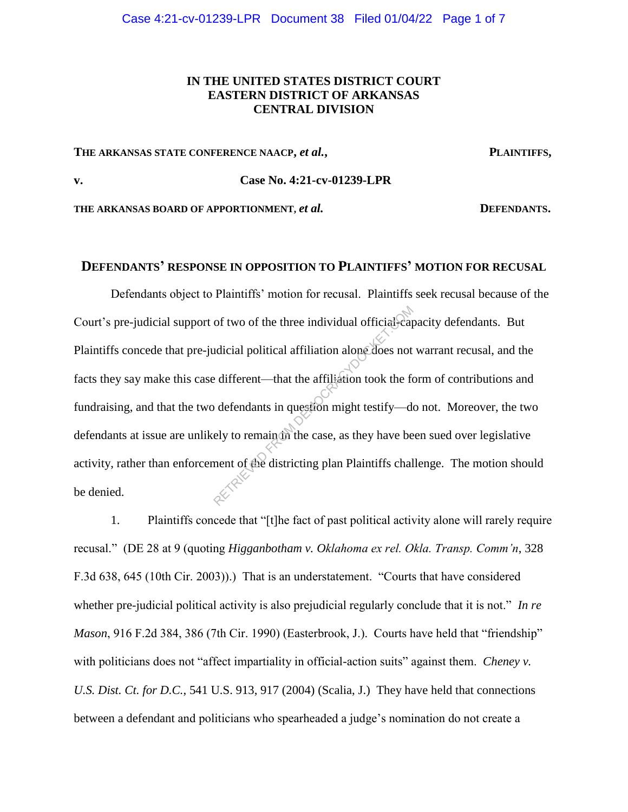#### Case 4:21-cv-01239-LPR Document 38 Filed 01/04/22 Page 1 of 7

## **IN THE UNITED STATES DISTRICT COURT EASTERN DISTRICT OF ARKANSAS CENTRAL DIVISION**

#### **THE ARKANSAS STATE CONFERENCE NAACP,** *et al.***, PLAINTIFFS,**

## **v. Case No. 4:21-cv-01239-LPR**

THE ARKANSAS BOARD OF APPORTIONMENT, *et al.* **DEFENDANTS.** 

# **DEFENDANTS' RESPONSE IN OPPOSITION TO PLAINTIFFS' MOTION FOR RECUSAL**

Defendants object to Plaintiffs' motion for recusal. Plaintiffs seek recusal because of the Court's pre-judicial support of two of the three individual official-capacity defendants. But Plaintiffs concede that pre-judicial political affiliation alone does not warrant recusal, and the facts they say make this case different—that the affiliation took the form of contributions and fundraising, and that the two defendants in question might testify—do not. Moreover, the two defendants at issue are unlikely to remain in the case, as they have been sued over legislative activity, rather than enforcement of the districting plan Plaintiffs challenge. The motion should be denied. of two of the three individual official-earth<br>adicial political affiliation alone does not<br>eitferent—that the affiliation took the for-<br>defendants in question might testify—de<br>ely to remain the case, as they have be<br>nent o

1. Plaintiffs concede that "[t]he fact of past political activity alone will rarely require recusal." (DE 28 at 9 (quoting *Higganbotham v. Oklahoma ex rel. Okla. Transp. Comm'n*, 328 F.3d 638, 645 (10th Cir. 2003)).) That is an understatement. "Courts that have considered whether pre-judicial political activity is also prejudicial regularly conclude that it is not." *In re Mason*, 916 F.2d 384, 386 (7th Cir. 1990) (Easterbrook, J.). Courts have held that "friendship" with politicians does not "affect impartiality in official-action suits" against them. *Cheney v. U.S. Dist. Ct. for D.C.*, 541 U.S. 913, 917 (2004) (Scalia, J.) They have held that connections between a defendant and politicians who spearheaded a judge's nomination do not create a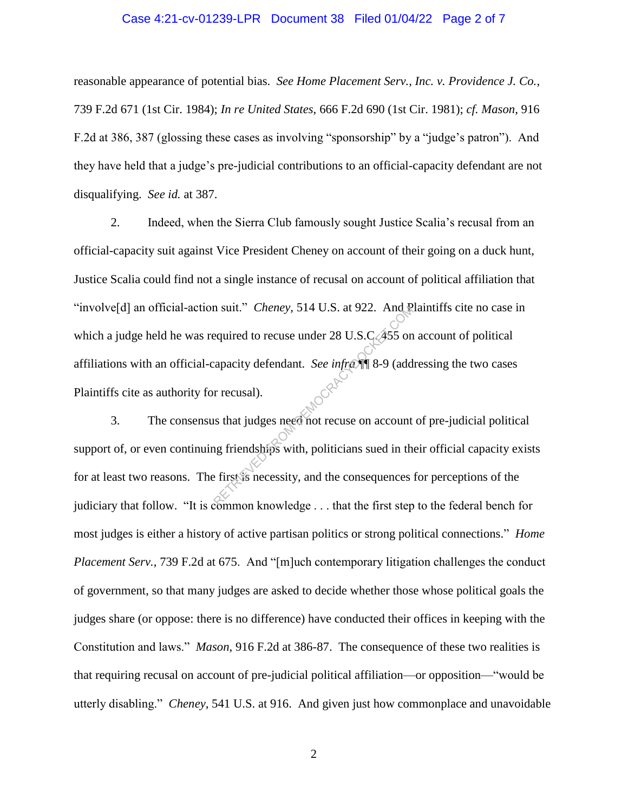#### Case 4:21-cv-01239-LPR Document 38 Filed 01/04/22 Page 2 of 7

reasonable appearance of potential bias. *See Home Placement Serv., Inc. v. Providence J. Co.*, 739 F.2d 671 (1st Cir. 1984); *In re United States*, 666 F.2d 690 (1st Cir. 1981); *cf. Mason*, 916 F.2d at 386, 387 (glossing these cases as involving "sponsorship" by a "judge's patron"). And they have held that a judge's pre-judicial contributions to an official-capacity defendant are not disqualifying. *See id.* at 387.

2. Indeed, when the Sierra Club famously sought Justice Scalia's recusal from an official-capacity suit against Vice President Cheney on account of their going on a duck hunt, Justice Scalia could find not a single instance of recusal on account of political affiliation that "involve[d] an official-action suit." *Cheney*, 514 U.S. at 922. And Plaintiffs cite no case in which a judge held he was required to recuse under 28 U.S.C.  $\cancel{455}$  on account of political affiliations with an official-capacity defendant. *See infra* ¶¶ 8-9 (addressing the two cases Plaintiffs cite as authority for recusal). In suit." Cheney, 514 U.S. at 922. And Required to recuse under 28 U.S.C. 455 on<br>equired to recuse under 28 U.S.C. 455 on<br>eapacity defendant. See inframe 8-9 (add<br>r recusal).<br>In recusal).<br>In recusal is that judges need not

3. The consensus that judges need not recuse on account of pre-judicial political support of, or even continuing friendships with, politicians sued in their official capacity exists for at least two reasons. The first is necessity, and the consequences for perceptions of the judiciary that follow. "It is common knowledge . . . that the first step to the federal bench for most judges is either a history of active partisan politics or strong political connections." *Home Placement Serv.*, 739 F.2d at 675. And "[m]uch contemporary litigation challenges the conduct of government, so that many judges are asked to decide whether those whose political goals the judges share (or oppose: there is no difference) have conducted their offices in keeping with the Constitution and laws." *Mason*, 916 F.2d at 386-87. The consequence of these two realities is that requiring recusal on account of pre-judicial political affiliation—or opposition—"would be utterly disabling." *Cheney*, 541 U.S. at 916. And given just how commonplace and unavoidable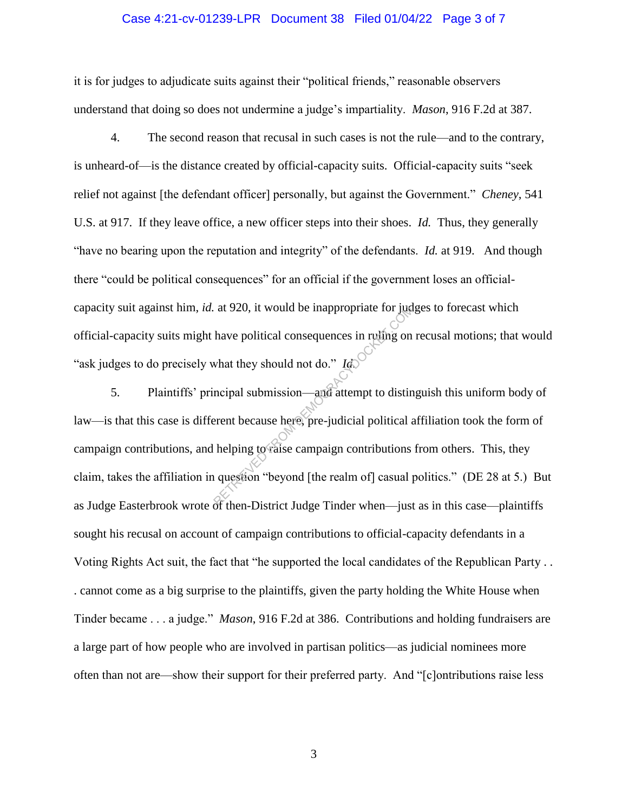#### Case 4:21-cv-01239-LPR Document 38 Filed 01/04/22 Page 3 of 7

it is for judges to adjudicate suits against their "political friends," reasonable observers understand that doing so does not undermine a judge's impartiality. *Mason*, 916 F.2d at 387.

4. The second reason that recusal in such cases is not the rule—and to the contrary, is unheard-of—is the distance created by official-capacity suits. Official-capacity suits "seek relief not against [the defendant officer] personally, but against the Government." *Cheney*, 541 U.S. at 917. If they leave office, a new officer steps into their shoes. *Id.* Thus, they generally "have no bearing upon the reputation and integrity" of the defendants. *Id.* at 919. And though there "could be political consequences" for an official if the government loses an officialcapacity suit against him, *id.* at 920, it would be inappropriate for judges to forecast which official-capacity suits might have political consequences in ruling on recusal motions; that would "ask judges to do precisely what they should not do." *Id.*

5. Plaintiffs' principal submission—and attempt to distinguish this uniform body of law—is that this case is different because here, pre-judicial political affiliation took the form of campaign contributions, and helping to raise campaign contributions from others. This, they claim, takes the affiliation in question "beyond [the realm of] casual politics." (DE 28 at 5.) But as Judge Easterbrook wrote of then-District Judge Tinder when—just as in this case—plaintiffs sought his recusal on account of campaign contributions to official-capacity defendants in a Voting Rights Act suit, the fact that "he supported the local candidates of the Republican Party . . . cannot come as a big surprise to the plaintiffs, given the party holding the White House when Tinder became . . . a judge." *Mason*, 916 F.2d at 386. Contributions and holding fundraisers are a large part of how people who are involved in partisan politics—as judicial nominees more often than not are—show their support for their preferred party. And "[c]ontributions raise less at 920, it would be inappropriate for juditions of the political consequences in ruling on what they should not do."  $I_{\phi}$  recipal submission—and attempt to distinguishment because here, pre-judicial political and helpi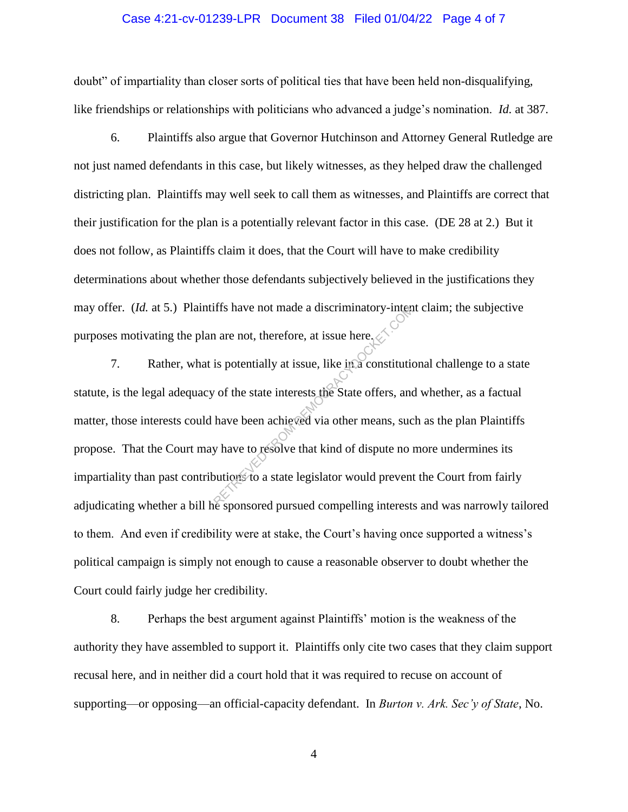#### Case 4:21-cv-01239-LPR Document 38 Filed 01/04/22 Page 4 of 7

doubt" of impartiality than closer sorts of political ties that have been held non-disqualifying, like friendships or relationships with politicians who advanced a judge's nomination. *Id.* at 387.

6. Plaintiffs also argue that Governor Hutchinson and Attorney General Rutledge are not just named defendants in this case, but likely witnesses, as they helped draw the challenged districting plan. Plaintiffs may well seek to call them as witnesses, and Plaintiffs are correct that their justification for the plan is a potentially relevant factor in this case. (DE 28 at 2.) But it does not follow, as Plaintiffs claim it does, that the Court will have to make credibility determinations about whether those defendants subjectively believed in the justifications they may offer. (*Id.* at 5.) Plaintiffs have not made a discriminatory-intent claim; the subjective purposes motivating the plan are not, therefore, at issue here.

7. Rather, what is potentially at issue, like in a constitutional challenge to a state statute, is the legal adequacy of the state interests the State offers, and whether, as a factual matter, those interests could have been achieved via other means, such as the plan Plaintiffs propose. That the Court may have to resolve that kind of dispute no more undermines its impartiality than past contributions to a state legislator would prevent the Court from fairly adjudicating whether a bill he sponsored pursued compelling interests and was narrowly tailored to them. And even if credibility were at stake, the Court's having once supported a witness's political campaign is simply not enough to cause a reasonable observer to doubt whether the Court could fairly judge her credibility. The matrix of the state interests the state offers, and<br>is potentially at issue, like in a constitution<br>of the state interests the State offers, and<br>have been achieved via other means, such a property<br>of the state legislat

8. Perhaps the best argument against Plaintiffs' motion is the weakness of the authority they have assembled to support it. Plaintiffs only cite two cases that they claim support recusal here, and in neither did a court hold that it was required to recuse on account of supporting—or opposing—an official-capacity defendant. In *Burton v. Ark. Sec'y of State*, No.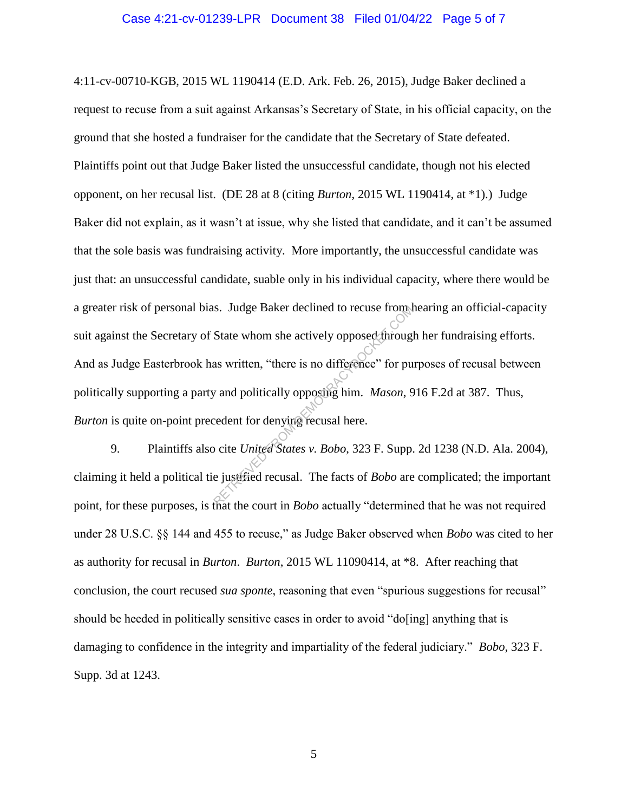#### Case 4:21-cv-01239-LPR Document 38 Filed 01/04/22 Page 5 of 7

4:11-cv-00710-KGB, 2015 WL 1190414 (E.D. Ark. Feb. 26, 2015), Judge Baker declined a request to recuse from a suit against Arkansas's Secretary of State, in his official capacity, on the ground that she hosted a fundraiser for the candidate that the Secretary of State defeated. Plaintiffs point out that Judge Baker listed the unsuccessful candidate, though not his elected opponent, on her recusal list. (DE 28 at 8 (citing *Burton*, 2015 WL 1190414, at \*1).) Judge Baker did not explain, as it wasn't at issue, why she listed that candidate, and it can't be assumed that the sole basis was fundraising activity. More importantly, the unsuccessful candidate was just that: an unsuccessful candidate, suable only in his individual capacity, where there would be a greater risk of personal bias. Judge Baker declined to recuse from hearing an official-capacity suit against the Secretary of State whom she actively opposed through her fundraising efforts. And as Judge Easterbrook has written, "there is no difference" for purposes of recusal between politically supporting a party and politically opposing him. *Mason*, 916 F.2d at 387. Thus, *Burton* is quite on-point precedent for denying recusal here. State whom she actively opposed through<br>State whom she actively opposed through<br>as written, "there is no difference" for pu<br>y and politically opposing him. Mason, 9<br>cedent for denying recusal here.<br>better for denying recus

9. Plaintiffs also cite *United States v. Bobo*, 323 F. Supp. 2d 1238 (N.D. Ala. 2004), claiming it held a political tie justified recusal. The facts of *Bobo* are complicated; the important point, for these purposes, is that the court in *Bobo* actually "determined that he was not required under 28 U.S.C. §§ 144 and 455 to recuse," as Judge Baker observed when *Bobo* was cited to her as authority for recusal in *Burton*. *Burton*, 2015 WL 11090414, at \*8. After reaching that conclusion, the court recused *sua sponte*, reasoning that even "spurious suggestions for recusal" should be heeded in politically sensitive cases in order to avoid "do[ing] anything that is damaging to confidence in the integrity and impartiality of the federal judiciary." *Bobo*, 323 F. Supp. 3d at 1243.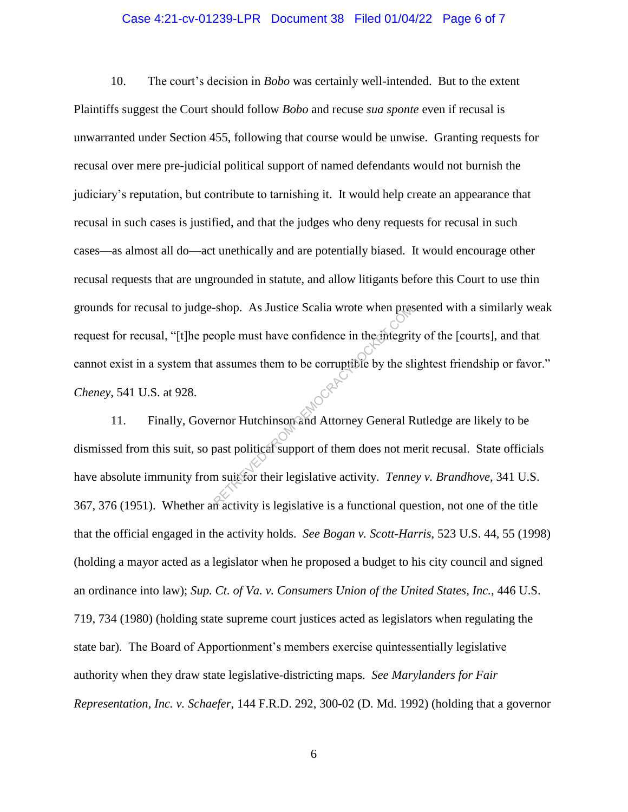#### Case 4:21-cv-01239-LPR Document 38 Filed 01/04/22 Page 6 of 7

10. The court's decision in *Bobo* was certainly well-intended. But to the extent Plaintiffs suggest the Court should follow *Bobo* and recuse *sua sponte* even if recusal is unwarranted under Section 455, following that course would be unwise. Granting requests for recusal over mere pre-judicial political support of named defendants would not burnish the judiciary's reputation, but contribute to tarnishing it. It would help create an appearance that recusal in such cases is justified, and that the judges who deny requests for recusal in such cases—as almost all do—act unethically and are potentially biased. It would encourage other recusal requests that are ungrounded in statute, and allow litigants before this Court to use thin grounds for recusal to judge-shop. As Justice Scalia wrote when presented with a similarly weak request for recusal, "[t]he people must have confidence in the integrity of the [courts], and that cannot exist in a system that assumes them to be corruptible by the slightest friendship or favor." *Cheney*, 541 U.S. at 928. Shop. As Justice Scalia wrote when press<br>
cople must have confidence in the integrit<br>
assumes them to be corruptible by the sl<br>
expansion of the slagger of them does not me<br>
m suit for their legislative activity. Tenne

11. Finally, Governor Hutchinson and Attorney General Rutledge are likely to be dismissed from this suit, so past political support of them does not merit recusal. State officials have absolute immunity from suit for their legislative activity. *Tenney v. Brandhove*, 341 U.S. 367, 376 (1951). Whether an activity is legislative is a functional question, not one of the title that the official engaged in the activity holds. *See Bogan v. Scott-Harris*, 523 U.S. 44, 55 (1998) (holding a mayor acted as a legislator when he proposed a budget to his city council and signed an ordinance into law); *Sup. Ct. of Va. v. Consumers Union of the United States, Inc.*, 446 U.S. 719, 734 (1980) (holding state supreme court justices acted as legislators when regulating the state bar). The Board of Apportionment's members exercise quintessentially legislative authority when they draw state legislative-districting maps. *See Marylanders for Fair Representation, Inc. v. Schaefer*, 144 F.R.D. 292, 300-02 (D. Md. 1992) (holding that a governor